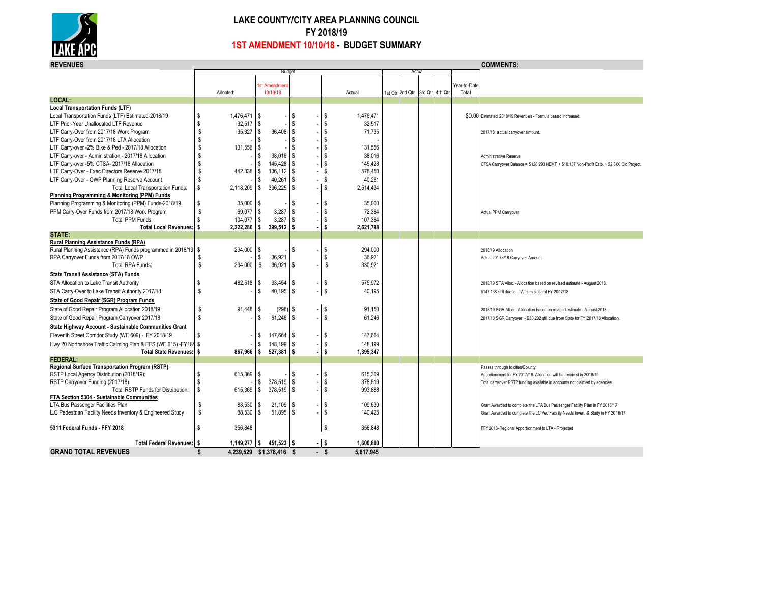

## **LAKE COUNTY/CITY AREA PLANNING COUNCIL FY 2018/19 1ST AMENDMENT 10/10/18 - BUDGET SUMMARY**

| <b>COMMENTS:</b><br><b>REVENUES</b>                             |              |                          |                          |                         |               |  |         |           |  |                 |                 |              |                                                                                           |
|-----------------------------------------------------------------|--------------|--------------------------|--------------------------|-------------------------|---------------|--|---------|-----------|--|-----------------|-----------------|--------------|-------------------------------------------------------------------------------------------|
|                                                                 |              |                          | Budget                   |                         |               |  |         |           |  | Actual          |                 |              |                                                                                           |
|                                                                 |              |                          |                          | <b>Ist Amendmen</b>     |               |  |         |           |  |                 |                 | ∕ear-to-Date |                                                                                           |
|                                                                 |              | Adopted:                 |                          | 10/10/18                |               |  |         | Actual    |  | 1st Qtr 2nd Qtr | 3rd Qtr 4th Qtr | Total        |                                                                                           |
| LOCAL:                                                          |              |                          |                          |                         |               |  |         |           |  |                 |                 |              |                                                                                           |
| <b>Local Transportation Funds (LTF)</b>                         |              |                          |                          |                         |               |  |         |           |  |                 |                 |              |                                                                                           |
| Local Transportation Funds (LTF) Estimated-2018/19              | S.           | 1,476,471                | -S                       |                         | S.            |  | S       | 1,476,471 |  |                 |                 |              | \$0.00 Estimated 2018/19 Revenues - Formula based increased.                              |
| LTF Prior-Year Unallocated LTF Revenue                          | S            | $32,517$ \\$             |                          |                         | \$            |  | S       | 32,517    |  |                 |                 |              |                                                                                           |
| LTF Carry-Over from 2017/18 Work Program                        | S            | 35,327                   | <b>S</b>                 | 36,408                  | <sub>\$</sub> |  | \$      | 71,735    |  |                 |                 |              | 2017/18 actual carryover amount.                                                          |
| LTF Carry-Over from 2017/18 LTA Allocation                      | \$           |                          | \$.                      |                         | S.            |  | S.      |           |  |                 |                 |              |                                                                                           |
| LTF Carry-over -2% Bike & Ped - 2017/18 Allocation              | <sub>S</sub> | 131,556                  | -S                       |                         | \$            |  | S.      | 131.556   |  |                 |                 |              |                                                                                           |
| LTF Carry-over - Administration - 2017/18 Allocation            | \$           |                          | s.                       | 38.016                  | -S            |  | S.      | 38.016    |  |                 |                 |              | Administrative Reserve                                                                    |
| LTF Carry-over -5% CTSA- 2017/18 Allocation                     | \$           |                          | S                        | 145.428                 | -S            |  | l s     | 145.428   |  |                 |                 |              | CTSA Carryover Balance = \$120,293 NEMT + \$18,137 Non-Profit Estb. + \$2,806 Old Project |
| LTF Carry-Over - Exec Directors Reserve 2017/18                 | S            | 442,338                  | l \$                     | 136,112                 | $\sqrt{3}$    |  | - \$    | 578,450   |  |                 |                 |              |                                                                                           |
| LTF Carry-Over - OWP Planning Reserve Account                   | S            |                          | S                        | 40,261                  | -S            |  | - \$    | 40,261    |  |                 |                 |              |                                                                                           |
| <b>Total Local Transportation Funds:</b>                        | \$           | 2,118,209                | <b>S</b>                 | 396,225                 | l \$          |  | - IS    | 2,514,434 |  |                 |                 |              |                                                                                           |
| Planning Programming & Monitoring (PPM) Funds                   |              |                          |                          |                         |               |  |         |           |  |                 |                 |              |                                                                                           |
| Planning Programming & Monitoring (PPM) Funds-2018/19           | S            | 35,000                   | l s                      |                         | S.            |  | \$      | 35,000    |  |                 |                 |              |                                                                                           |
| PPM Carry-Over Funds from 2017/18 Work Program                  | S            | 69,077                   | $\sqrt{3}$               | 3,287                   | S.            |  | S       | 72,364    |  |                 |                 |              | Actual PPM Carryover                                                                      |
| <b>Total PPM Funds:</b>                                         | \$.          | 104,077 \$               |                          | 3,287                   | <sub>\$</sub> |  | \$      | 107,364   |  |                 |                 |              |                                                                                           |
| <b>Total Local Revenues:</b>                                    | l s          | 2,222,286                | l S                      | 399,512                 | l \$          |  | \$      | 2,621,798 |  |                 |                 |              |                                                                                           |
| STATE:                                                          |              |                          |                          |                         |               |  |         |           |  |                 |                 |              |                                                                                           |
| Rural Planning Assistance Funds (RPA)                           |              |                          |                          |                         |               |  |         |           |  |                 |                 |              |                                                                                           |
| Rural Planning Assistance (RPA) Funds programmed in 2018/19 \$  |              | 294,000                  | -S                       |                         | Ŝ.            |  | -S      | 294.000   |  |                 |                 |              | 2018/19 Allocation                                                                        |
| RPA Carryover Funds from 2017/18 OWP                            |              |                          | S                        | 36,921                  |               |  | S       | 36,921    |  |                 |                 |              | Actual 20178/18 Carryover Amount                                                          |
| <b>Total RPA Funds:</b>                                         | \$           | 294,000                  | \$                       | 36,921                  | $\sqrt{3}$    |  | \$      | 330,921   |  |                 |                 |              |                                                                                           |
| <b>State Transit Assistance (STA) Funds</b>                     |              |                          |                          |                         |               |  |         |           |  |                 |                 |              |                                                                                           |
| STA Allocation to Lake Transit Authority                        | S            | 482,518                  | S.                       | 93,454                  | <b>S</b>      |  | l \$    | 575.972   |  |                 |                 |              | 2018/19 STA Alloc. - Allocation based on revised estimate - August 2018.                  |
| STA Carry-Over to Lake Transit Authority 2017/18                | S.           |                          | \$                       | 40.195                  | -S            |  | l \$    | 40,195    |  |                 |                 |              | \$147,138 still due to LTA from close of FY 2017/18                                       |
| State of Good Repair (SGR) Program Funds                        |              |                          |                          |                         |               |  |         |           |  |                 |                 |              |                                                                                           |
| State of Good Repair Program Allocation 2018/19                 | S            | 91,448                   | -S                       | $(298)$ \$              |               |  | l \$    | 91,150    |  |                 |                 |              |                                                                                           |
|                                                                 | \$           |                          | \$                       | $61,246$ \ \$           |               |  | l s     |           |  |                 |                 |              | 2018/19 SGR Alloc. - Allocation based on revised estimate - August 2018                   |
| State of Good Repair Program Carryover 2017/18                  |              |                          |                          |                         |               |  |         | 61,246    |  |                 |                 |              | 2017/18 SGR Carryover - \$30,202 still due from State for FY 2017/18 Allocation           |
| <b>State Highway Account - Sustainable Communities Grant</b>    |              |                          |                          |                         |               |  |         |           |  |                 |                 |              |                                                                                           |
| Eleventh Street Corridor Study (WE 609) - FY 2018/19            | S.           |                          | \$                       | 147,664                 | <b>\$</b>     |  | \$      | 147,664   |  |                 |                 |              |                                                                                           |
| Hwy 20 Northshore Traffic Calming Plan & EFS (WE 615) -FY18/ \$ |              |                          | \$                       | 148.199                 | -S            |  | S       | 148.199   |  |                 |                 |              |                                                                                           |
| <b>Total State Revenues:</b>                                    | l s          | 867,966                  | l S                      | 527,381                 | 5             |  | l s     | 1,395,347 |  |                 |                 |              |                                                                                           |
| FEDERAL:                                                        |              |                          |                          |                         |               |  |         |           |  |                 |                 |              |                                                                                           |
| Regional Surface Transportation Program (RSTP)                  |              |                          |                          |                         |               |  |         |           |  |                 |                 |              | Passes through to cities/County                                                           |
| RSTP Local Agency Distribution (2018/19):                       | S.           | 615,369                  | l \$                     |                         | \$            |  | S       | 615,369   |  |                 |                 |              | Apportionment for FY 2017/18. Allocation will be received in 2018/19                      |
| RSTP Carryover Funding (2017/18)                                | S.           |                          | \$                       | 378,519                 | $\sqrt{3}$    |  | S       | 378,519   |  |                 |                 |              | Total carryover RSTP funding available in accounts not claimed by agencies.               |
| Total RSTP Funds for Distribution:                              | <b>S</b>     | 615,369                  | $\overline{\phantom{a}}$ | 378,519                 | l \$          |  | S.      | 993,888   |  |                 |                 |              |                                                                                           |
| FTA Section 5304 - Sustainable Communities                      | S            |                          |                          |                         |               |  |         |           |  |                 |                 |              |                                                                                           |
| LTA Bus Passenger Facilities Plan                               | \$           | 88,530<br>88,530         | l\$<br>l s               | $21,109$   \$<br>51,895 | l \$          |  | \$<br>S | 109,639   |  |                 |                 |              | Grant Awarded to complete the LTA Bus Passenger Facility Plan in FY 2016/17               |
| L.C Pedestrian Facility Needs Inventory & Engineered Study      |              |                          |                          |                         |               |  |         | 140,425   |  |                 |                 |              | Grant Awarded to complete the LC Ped Facility Needs Inven. & Study in FY 2016/17          |
| 5311 Federal Funds - FFY 2018                                   | S            | 356,848                  |                          |                         |               |  | S       | 356,848   |  |                 |                 |              | FFY 2018-Regional Apportionment to LTA - Projected                                        |
|                                                                 |              |                          |                          |                         |               |  |         |           |  |                 |                 |              |                                                                                           |
| <b>Total Federal Revenues: S</b>                                |              | $1,149,277$ \$           |                          | 451,523                 | l S           |  | $-1$ \$ | 1,600,800 |  |                 |                 |              |                                                                                           |
| <b>GRAND TOTAL REVENUES</b>                                     | л.           | 4,239,529 \$1,378,416 \$ |                          |                         |               |  | - \$    | 5.617.945 |  |                 |                 |              |                                                                                           |